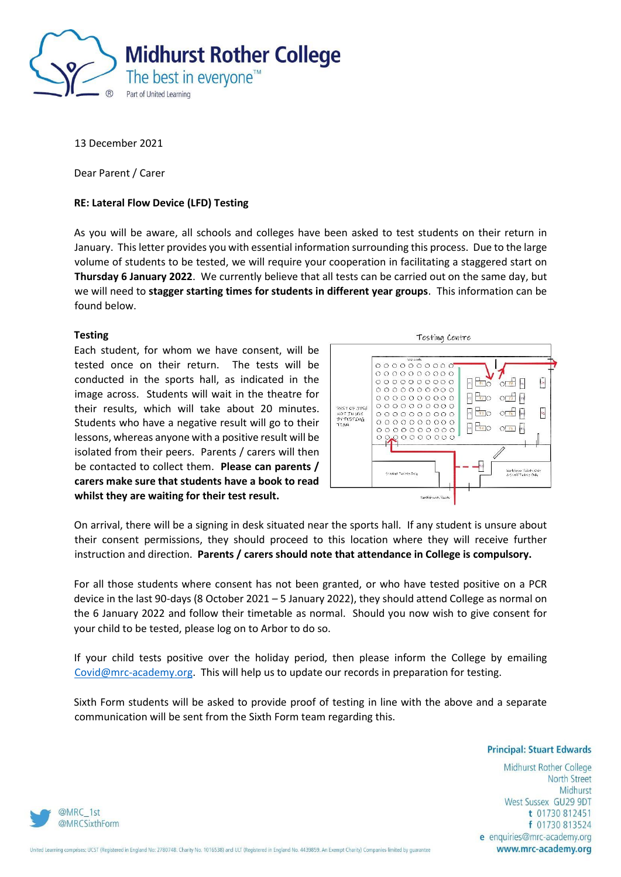

13 December 2021

Dear Parent / Carer

## **RE: Lateral Flow Device (LFD) Testing**

As you will be aware, all schools and colleges have been asked to test students on their return in January. This letter provides you with essential information surrounding this process. Due to the large volume of students to be tested, we will require your cooperation in facilitating a staggered start on **Thursday 6 January 2022**. We currently believe that all tests can be carried out on the same day, but we will need to **stagger starting times for students in different year groups**. This information can be found below.

## **Testing**

Each student, for whom we have consent, will be tested once on their return. The tests will be conducted in the sports hall, as indicated in the image across. Students will wait in the theatre for their results, which will take about 20 minutes. Students who have a negative result will go to their lessons, whereas anyone with a positive result will be isolated from their peers. Parents / carers will then be contacted to collect them. **Please can parents / carers make sure that students have a book to read whilst they are waiting for their test result.**



On arrival, there will be a signing in desk situated near the sports hall. If any student is unsure about their consent permissions, they should proceed to this location where they will receive further instruction and direction. **Parents / carers should note that attendance in College is compulsory.**

For all those students where consent has not been granted, or who have tested positive on a PCR device in the last 90-days (8 October 2021 – 5 January 2022), they should attend College as normal on the 6 January 2022 and follow their timetable as normal. Should you now wish to give consent for your child to be tested, please log on to Arbor to do so.

If your child tests positive over the holiday period, then please inform the College by emailing [Covid@mrc-academy.org.](mailto:Covid@mrc-academy.org) This will help us to update our records in preparation for testing.

Sixth Form students will be asked to provide proof of testing in line with the above and a separate communication will be sent from the Sixth Form team regarding this.

**Principal: Stuart Edwards** 

Midhurst Rother College **North Street** Midhurst West Sussex GU29 9DT t 01730 812451 f 01730 813524 e enquiries@mrc-academy.org www.mrc-academy.org